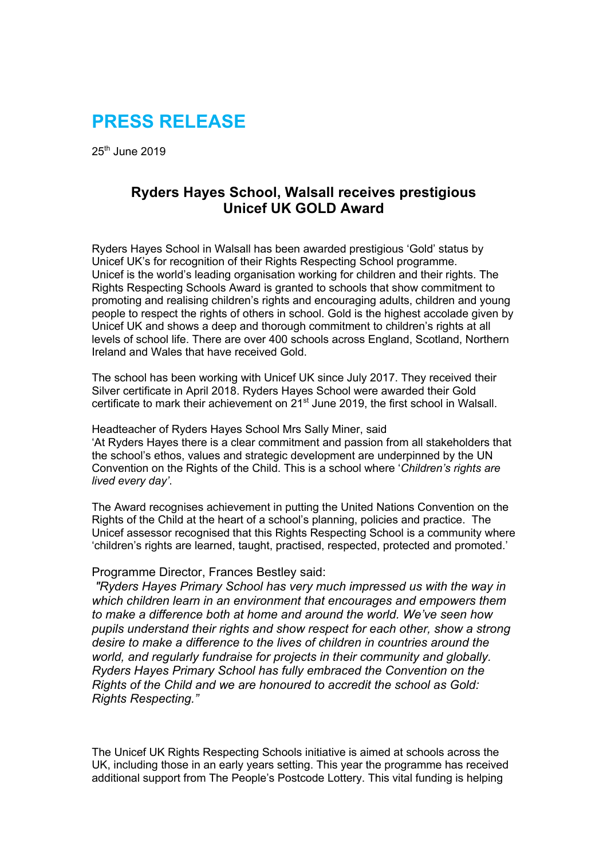# **PRESS RELEASE**

 $25<sup>th</sup>$  June 2019

# **Ryders Hayes School, Walsall receives prestigious Unicef UK GOLD Award**

Ryders Hayes School in Walsall has been awarded prestigious 'Gold' status by Unicef UK's for recognition of their Rights Respecting School programme. Unicef is the world's leading organisation working for children and their rights. The Rights Respecting Schools Award is granted to schools that show commitment to promoting and realising children's rights and encouraging adults, children and young people to respect the rights of others in school. Gold is the highest accolade given by Unicef UK and shows a deep and thorough commitment to children's rights at all levels of school life. There are over 400 schools across England, Scotland, Northern Ireland and Wales that have received Gold.

The school has been working with Unicef UK since July 2017. They received their Silver certificate in April 2018. Ryders Hayes School were awarded their Gold certificate to mark their achievement on 21<sup>st</sup> June 2019, the first school in Walsall.

Headteacher of Ryders Hayes School Mrs Sally Miner, said 'At Ryders Hayes there is a clear commitment and passion from all stakeholders that the school's ethos, values and strategic development are underpinned by the UN Convention on the Rights of the Child. This is a school where '*Children's rights are lived every day'*.

The Award recognises achievement in putting the United Nations Convention on the Rights of the Child at the heart of a school's planning, policies and practice. The Unicef assessor recognised that this Rights Respecting School is a community where 'children's rights are learned, taught, practised, respected, protected and promoted.'

#### Programme Director, Frances Bestley said:

*"Ryders Hayes Primary School has very much impressed us with the way in which children learn in an environment that encourages and empowers them to make a difference both at home and around the world. We've seen how pupils understand their rights and show respect for each other, show a strong desire to make a difference to the lives of children in countries around the world, and regularly fundraise for projects in their community and globally. Ryders Hayes Primary School has fully embraced the Convention on the Rights of the Child and we are honoured to accredit the school as Gold: Rights Respecting."*

The Unicef UK Rights Respecting Schools initiative is aimed at schools across the UK, including those in an early years setting. This year the programme has received additional support from The People's Postcode Lottery. This vital funding is helping